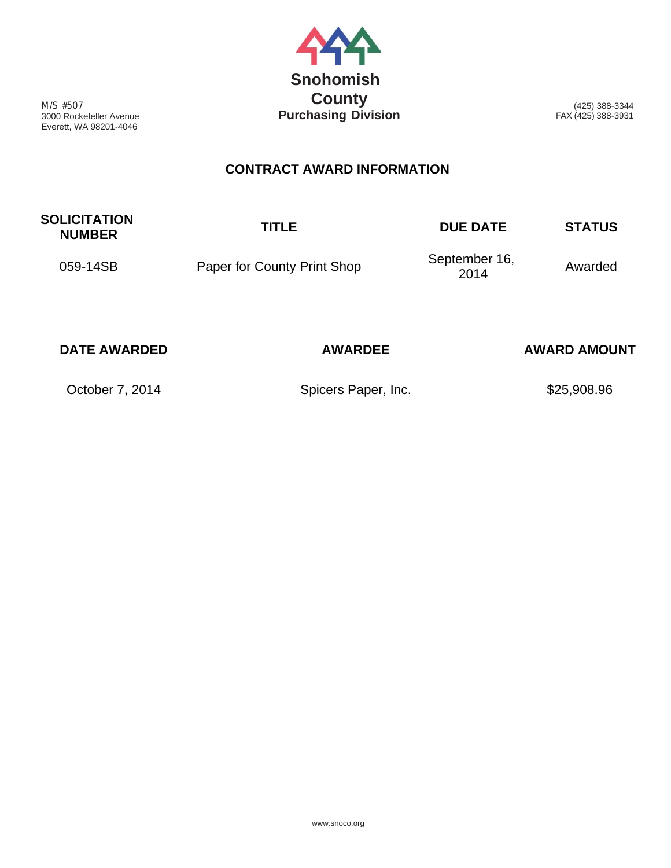

M/S #507 3000 Rockefeller Avenue Everett, WA 98201-4046

(425) 388-3344 FAX (425) 388-3931

## **CONTRACT AWARD INFORMATION**

| <b>SOLICITATION</b><br><b>NUMBER</b> | <b>TITLE</b>                | <b>DUE DATE</b>       | <b>STATUS</b> |
|--------------------------------------|-----------------------------|-----------------------|---------------|
| 059-14SB                             | Paper for County Print Shop | September 16,<br>2014 | Awarded       |

| <b>DATE AWARDED</b> | <b>AWARDEE</b>      | <b>AWARD AMOUNT</b> |  |  |  |  |
|---------------------|---------------------|---------------------|--|--|--|--|
| October 7, 2014     | Spicers Paper, Inc. | \$25,908.96         |  |  |  |  |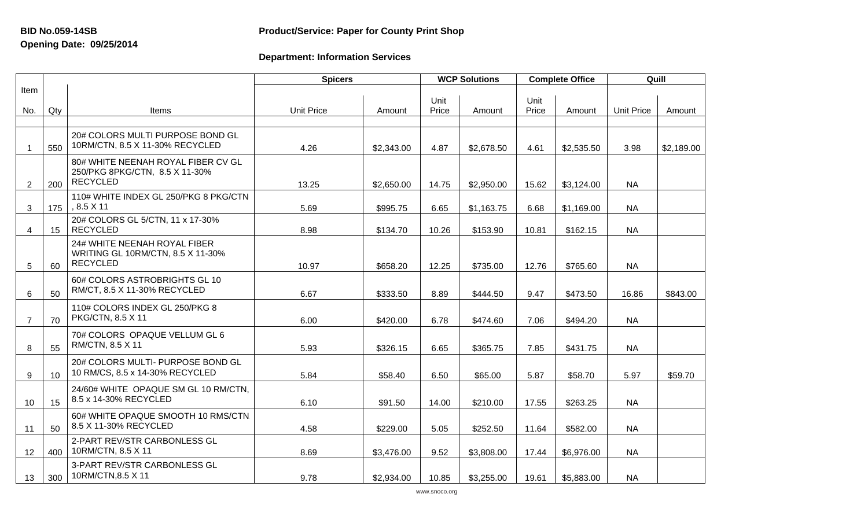## **Opening Date: 09/25/2014**

## **BID No.059-14SB Product/Service: Paper for County Print Shop**

## **Department: Information Services**

|                |                 |                                                                                         | <b>Spicers</b>    |            | <b>WCP Solutions</b> |            |  |
|----------------|-----------------|-----------------------------------------------------------------------------------------|-------------------|------------|----------------------|------------|--|
| Item           |                 |                                                                                         |                   |            | Unit                 |            |  |
| No.            | Qty             | Items                                                                                   | <b>Unit Price</b> | Amount     | Price                | Amount     |  |
| $\mathbf 1$    | 550             | 20# COLORS MULTI PURPOSE BOND GL<br>10RM/CTN, 8.5 X 11-30% RECYCLED                     | 4.26              | \$2,343.00 | 4.87                 | \$2,678.50 |  |
| 2              | 200             | 80# WHITE NEENAH ROYAL FIBER CV GL<br>250/PKG 8PKG/CTN, 8.5 X 11-30%<br><b>RECYCLED</b> | 13.25             | \$2,650.00 | 14.75                | \$2,950.00 |  |
| 3              | 175             | 110# WHITE INDEX GL 250/PKG 8 PKG/CTN<br>$, 8.5 \times 11$                              | 5.69              | \$995.75   | 6.65                 | \$1,163.75 |  |
| $\overline{4}$ | 15              | 20# COLORS GL 5/CTN, 11 x 17-30%<br><b>RECYCLED</b>                                     | 8.98              | \$134.70   | 10.26                | \$153.90   |  |
| 5              | 60              | 24# WHITE NEENAH ROYAL FIBER<br>WRITING GL 10RM/CTN, 8.5 X 11-30%<br><b>RECYCLED</b>    | 10.97             | \$658.20   | 12.25                | \$735.00   |  |
| 6              | 50              | 60# COLORS ASTROBRIGHTS GL 10<br>RM/CT, 8.5 X 11-30% RECYCLED                           | 6.67              | \$333.50   | 8.89                 | \$444.50   |  |
| $\overline{7}$ | 70              | 110# COLORS INDEX GL 250/PKG 8<br>PKG/CTN, 8.5 X 11                                     | 6.00              | \$420.00   | 6.78                 | \$474.60   |  |
| 8              | 55              | 70# COLORS OPAQUE VELLUM GL 6<br>RM/CTN, 8.5 X 11                                       | 5.93              | \$326.15   | 6.65                 | \$365.75   |  |
| 9              | 10 <sup>°</sup> | 20# COLORS MULTI- PURPOSE BOND GL<br>10 RM/CS, 8.5 x 14-30% RECYCLED                    | 5.84              | \$58.40    | 6.50                 | \$65.00    |  |
| 10             | 15              | 24/60# WHITE OPAQUE SM GL 10 RM/CTN,<br>8.5 x 14-30% RECYCLED                           | 6.10              | \$91.50    | 14.00                | \$210.00   |  |
| 11             | 50              | 60# WHITE OPAQUE SMOOTH 10 RMS/CTN<br>8.5 X 11-30% RECYCLED                             | 4.58              | \$229.00   | 5.05                 | \$252.50   |  |
| 12             | 400             | 2-PART REV/STR CARBONLESS GL<br>10RM/CTN, 8.5 X 11                                      | 8.69              | \$3,476.00 | 9.52                 | \$3,808.00 |  |
| 13             | 300             | 3-PART REV/STR CARBONLESS GL<br>10RM/CTN, 8.5 X 11                                      | 9.78              | \$2,934.00 | 10.85                | \$3,255.00 |  |